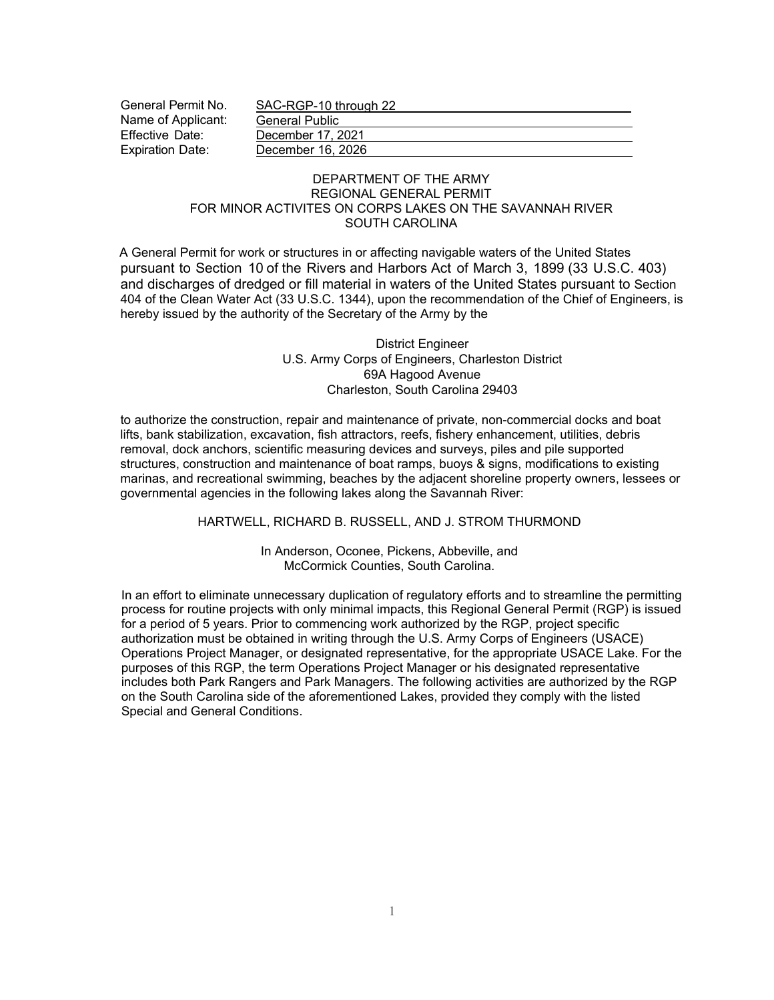| General Permit No.      | SAC-RGP-10 through 22 |  |  |
|-------------------------|-----------------------|--|--|
| Name of Applicant:      | <b>General Public</b> |  |  |
| Effective Date:         | December 17, 2021     |  |  |
| <b>Expiration Date:</b> | December 16, 2026     |  |  |

## DEPARTMENT OF THE ARMY REGIONAL GENERAL PERMIT FOR MINOR ACTIVITES ON CORPS LAKES ON THE SAVANNAH RIVER SOUTH CAROLINA

A General Permit for work or structures in or affecting navigable waters of the United States pursuant to Section 10 of the Rivers and Harbors Act of March 3, 1899 (33 U.S.C. 403) and discharges of dredged or fill material in waters of the United States pursuant to Section 404 of the Clean Water Act (33 U.S.C. 1344), upon the recommendation of the Chief of Engineers, is hereby issued by the authority of the Secretary of the Army by the

> District Engineer U.S. Army Corps of Engineers, Charleston District 69A Hagood Avenue Charleston, South Carolina 29403

to authorize the construction, repair and maintenance of private, non-commercial docks and boat lifts, bank stabilization, excavation, fish attractors, reefs, fishery enhancement, utilities, debris removal, dock anchors, scientific measuring devices and surveys, piles and pile supported structures, construction and maintenance of boat ramps, buoys & signs, modifications to existing marinas, and recreational swimming, beaches by the adjacent shoreline property owners, lessees or governmental agencies in the following lakes along the Savannah River:

HARTWELL, RICHARD B. RUSSELL, AND J. STROM THURMOND

In Anderson, Oconee, Pickens, Abbeville, and McCormick Counties, South Carolina.

In an effort to eliminate unnecessary duplication of regulatory efforts and to streamline the permitting process for routine projects with only minimal impacts, this Regional General Permit (RGP) is issued for a period of 5 years. Prior to commencing work authorized by the RGP, project specific authorization must be obtained in writing through the U.S. Army Corps of Engineers (USACE) Operations Project Manager, or designated representative, for the appropriate USACE Lake. For the purposes of this RGP, the term Operations Project Manager or his designated representative includes both Park Rangers and Park Managers. The following activities are authorized by the RGP on the South Carolina side of the aforementioned Lakes, provided they comply with the listed Special and General Conditions.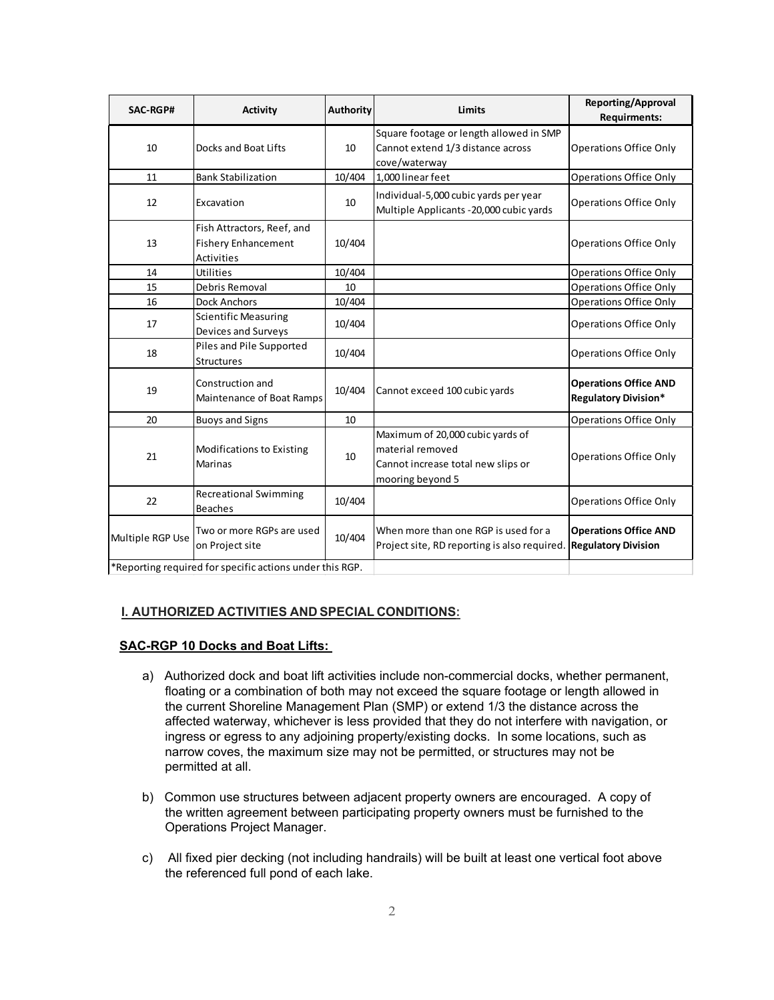| SAC-RGP#                                                 | <b>Activity</b>                                                               | <b>Authority</b> | <b>Limits</b>                                                                                                  | Reporting/Approval<br><b>Requirments:</b>                   |
|----------------------------------------------------------|-------------------------------------------------------------------------------|------------------|----------------------------------------------------------------------------------------------------------------|-------------------------------------------------------------|
| 10                                                       | Docks and Boat Lifts                                                          | 10               | Square footage or length allowed in SMP<br>Cannot extend 1/3 distance across<br>cove/waterway                  | <b>Operations Office Only</b>                               |
| 11                                                       | <b>Bank Stabilization</b>                                                     | 10/404           | 1,000 linear feet                                                                                              | <b>Operations Office Only</b>                               |
| 12                                                       | Excavation                                                                    | 10               | Individual-5,000 cubic yards per year<br>Multiple Applicants - 20,000 cubic yards                              | <b>Operations Office Only</b>                               |
| 13                                                       | Fish Attractors, Reef, and<br><b>Fishery Enhancement</b><br><b>Activities</b> | 10/404           |                                                                                                                | <b>Operations Office Only</b>                               |
| 14                                                       | Utilities                                                                     | 10/404           |                                                                                                                | <b>Operations Office Only</b>                               |
| 15                                                       | Debris Removal                                                                | 10               |                                                                                                                | <b>Operations Office Only</b>                               |
| 16                                                       | <b>Dock Anchors</b>                                                           | 10/404           |                                                                                                                | <b>Operations Office Only</b>                               |
| 17                                                       | <b>Scientific Measuring</b><br>Devices and Surveys                            | 10/404           |                                                                                                                | <b>Operations Office Only</b>                               |
| 18                                                       | Piles and Pile Supported<br><b>Structures</b>                                 | 10/404           |                                                                                                                | <b>Operations Office Only</b>                               |
| 19                                                       | Construction and<br>Maintenance of Boat Ramps                                 | 10/404           | Cannot exceed 100 cubic yards                                                                                  | <b>Operations Office AND</b><br><b>Regulatory Division*</b> |
| 20                                                       | <b>Buoys and Signs</b>                                                        | 10               |                                                                                                                | <b>Operations Office Only</b>                               |
| 21                                                       | Modifications to Existing<br><b>Marinas</b>                                   | 10               | Maximum of 20,000 cubic yards of<br>material removed<br>Cannot increase total new slips or<br>mooring beyond 5 | <b>Operations Office Only</b>                               |
| 22                                                       | <b>Recreational Swimming</b><br><b>Beaches</b>                                | 10/404           |                                                                                                                | <b>Operations Office Only</b>                               |
| Multiple RGP Use                                         | Two or more RGPs are used<br>on Project site                                  | 10/404           | When more than one RGP is used for a<br>Project site, RD reporting is also required                            | <b>Operations Office AND</b><br><b>Regulatory Division</b>  |
| *Reporting required for specific actions under this RGP. |                                                                               |                  |                                                                                                                |                                                             |

# **I. AUTHORIZED ACTIVITIES AND SPECIAL CONDITIONS:**

# **SAC-RGP 10 Docks and Boat Lifts:**

- a) Authorized dock and boat lift activities include non-commercial docks, whether permanent, floating or a combination of both may not exceed the square footage or length allowed in the current Shoreline Management Plan (SMP) or extend 1/3 the distance across the affected waterway, whichever is less provided that they do not interfere with navigation, or ingress or egress to any adjoining property/existing docks. In some locations, such as narrow coves, the maximum size may not be permitted, or structures may not be permitted at all.
- b) Common use structures between adjacent property owners are encouraged. A copy of the written agreement between participating property owners must be furnished to the Operations Project Manager.
- c) All fixed pier decking (not including handrails) will be built at least one vertical foot above the referenced full pond of each lake.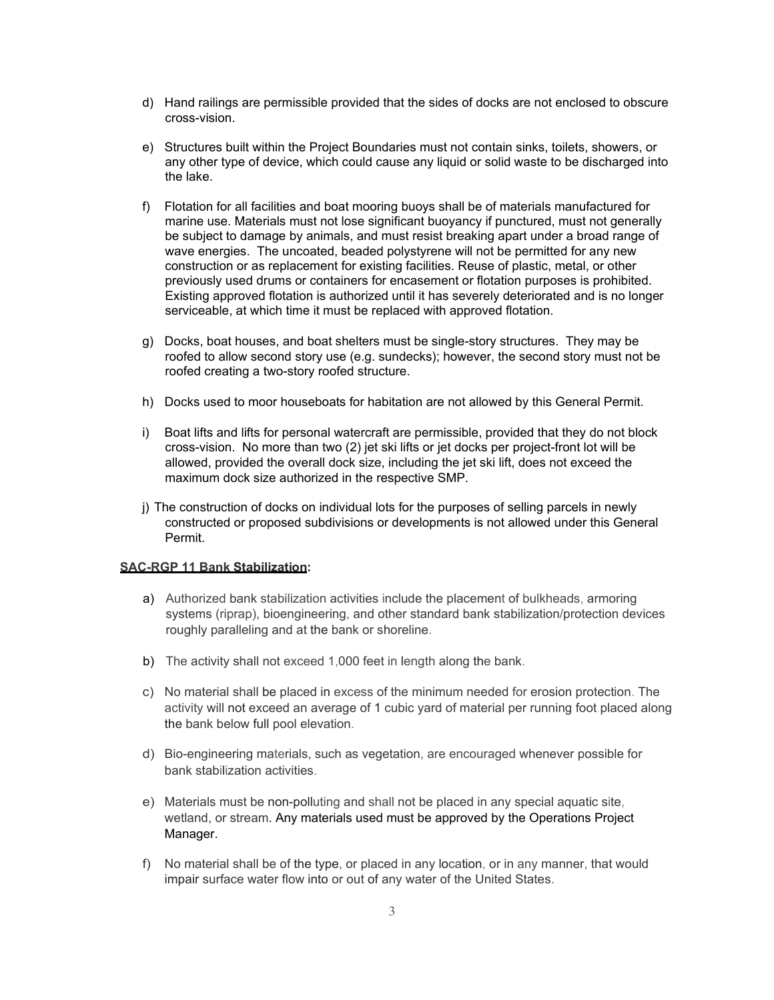- d) Hand railings are permissible provided that the sides of docks are not enclosed to obscure cross-vision.
- e) Structures built within the Project Boundaries must not contain sinks, toilets, showers, or any other type of device, which could cause any liquid or solid waste to be discharged into the lake.
- f) Flotation for all facilities and boat mooring buoys shall be of materials manufactured for marine use. Materials must not lose significant buoyancy if punctured, must not generally be subject to damage by animals, and must resist breaking apart under a broad range of wave energies. The uncoated, beaded polystyrene will not be permitted for any new construction or as replacement for existing facilities. Reuse of plastic, metal, or other previously used drums or containers for encasement or flotation purposes is prohibited. Existing approved flotation is authorized until it has severely deteriorated and is no longer serviceable, at which time it must be replaced with approved flotation.
- g) Docks, boat houses, and boat shelters must be single-story structures. They may be roofed to allow second story use (e.g. sundecks); however, the second story must not be roofed creating a two-story roofed structure.
- h) Docks used to moor houseboats for habitation are not allowed by this General Permit.
- i) Boat lifts and lifts for personal watercraft are permissible, provided that they do not block cross-vision. No more than two (2) jet ski lifts or jet docks per project-front lot will be allowed, provided the overall dock size, including the jet ski lift, does not exceed the maximum dock size authorized in the respective SMP.
- j) The construction of docks on individual lots for the purposes of selling parcels in newly constructed or proposed subdivisions or developments is not allowed under this General Permit.

#### **SAC-RGP 11 Bank Stabilization:**

- a) Authorized bank stabilization activities include the placement of bulkheads, armoring systems (riprap), bioengineering, and other standard bank stabilization/protection devices roughly paralleling and at the bank or shoreline.
- b) The activity shall not exceed 1,000 feet in length along the bank.
- c) No material shall be placed in excess of the minimum needed for erosion protection. The activity will not exceed an average of 1 cubic yard of material per running foot placed along the bank below full pool elevation.
- d) Bio-engineering materials, such as vegetation, are encouraged whenever possible for bank stabilization activities.
- e) Materials must be non-polluting and shall not be placed in any special aquatic site, wetland, or stream. Any materials used must be approved by the Operations Project Manager.
- f) No material shall be of the type, or placed in any location, or in any manner, that would impair surface water flow into or out of any water of the United States.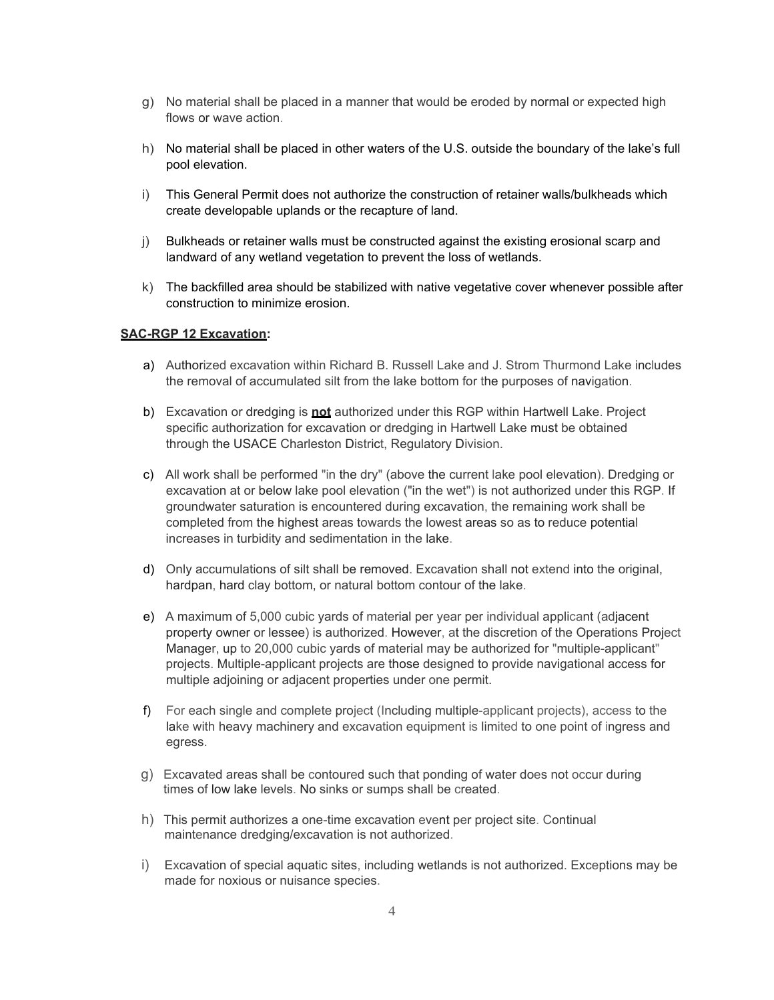- g) No material shall be placed in a manner that would be eroded by normal or expected high flows or wave action.
- h) No material shall be placed in other waters of the U.S. outside the boundary of the lake's full pool elevation.
- i) This General Permit does not authorize the construction of retainer walls/bulkheads which create developable uplands or the recapture of land.
- j) Bulkheads or retainer walls must be constructed against the existing erosional scarp and landward of any wetland vegetation to prevent the loss of wetlands.
- k) The backfilled area should be stabilized with native vegetative cover whenever possible after construction to minimize erosion.

### **SAC-RGP 12 Excavation:**

- a) Authorized excavation within Richard B. Russell Lake and J. Strom Thurmond Lake includes the removal of accumulated silt from the lake bottom for the purposes of navigation.
- b) Excavation or dredging is **not** authorized under this RGP within Hartwell Lake. Project specific authorization for excavation or dredging in Hartwell Lake must be obtained through the USACE Charleston District, Regulatory Division.
- c) All work shall be performed "in the dry" (above the current lake pool elevation). Dredging or excavation at or below lake pool elevation ("in the wet") is not authorized under this RGP. If groundwater saturation is encountered during excavation, the remaining work shall be completed from the highest areas towards the lowest areas so as to reduce potential increases in turbidity and sedimentation in the lake.
- d) Only accumulations of silt shall be removed. Excavation shall not extend into the original, hardpan, hard clay bottom, or natural bottom contour of the lake.
- e) A maximum of 5,000 cubic yards of material per year per individual applicant (adjacent property owner or lessee) is authorized. However, at the discretion of the Operations Project Manager, up to 20,000 cubic yards of material may be authorized for "multiple-applicant" projects. Multiple-applicant projects are those designed to provide navigational access for multiple adjoining or adjacent properties under one permit.
- f) For each single and complete project (Including multiple-applicant projects), access to the lake with heavy machinery and excavation equipment is limited to one point of ingress and egress.
- g) Excavated areas shall be contoured such that ponding of water does not occur during times of low lake levels. No sinks or sumps shall be created.
- h) This permit authorizes a one-time excavation event per project site. Continual maintenance dredging/excavation is not authorized.
- i) Excavation of special aquatic sites, including wetlands is not authorized. Exceptions may be made for noxious or nuisance species.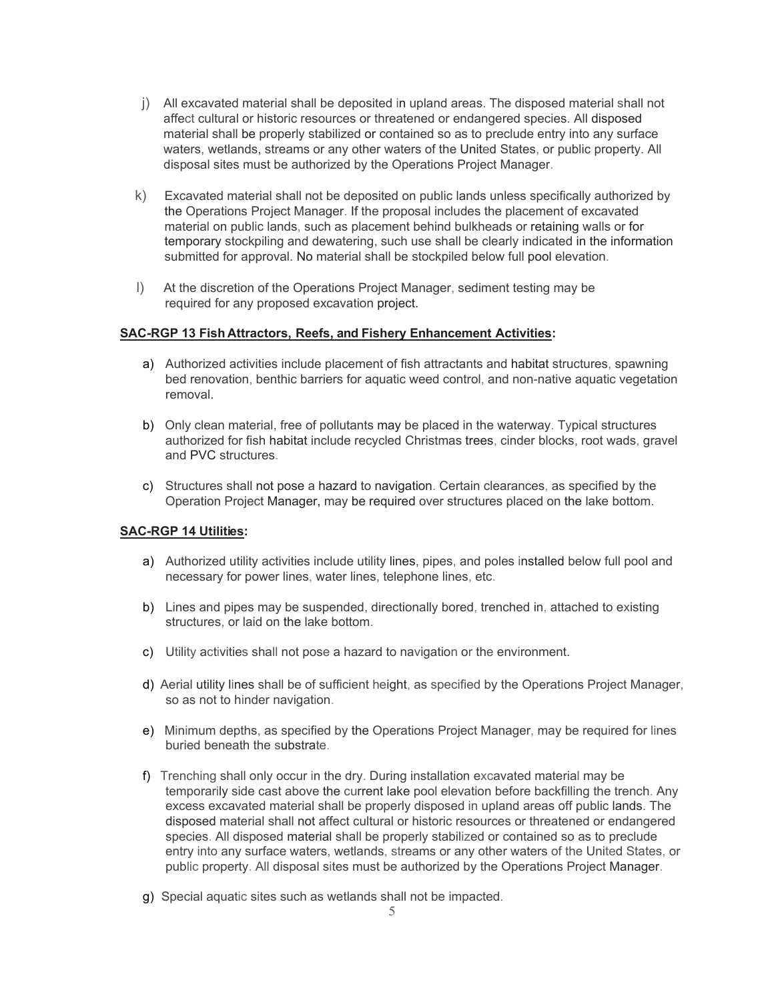- j) All excavated material shall be deposited in upland areas. The disposed material shall not affect cultural or historic resources or threatened or endangered species. All disposed material shall be properly stabilized or contained so as to preclude entry into any surface waters, wetlands, streams or any other waters of the United States, or public property. All disposal sites must be authorized by the Operations Project Manager.
- k) Excavated material shall not be deposited on public lands unless specifically authorized by the Operations Project Manager. If the proposal includes the placement of excavated material on public lands, such as placement behind bulkheads or retaining walls or for temporary stockpiling and dewatering, such use shall be clearly indicated in the information submitted for approval. No material shall be stockpiled below full pool elevation.
- l) At the discretion of the Operations Project Manager, sediment testing may be required for any proposed excavation project.

## **SAC-RGP 13 Fish Attractors, Reefs, and Fishery Enhancement Activities:**

- a) Authorized activities include placement of fish attractants and habitat structures, spawning bed renovation, benthic barriers for aquatic weed control, and non-native aquatic vegetation removal.
- b) Only clean material, free of pollutants may be placed in the waterway. Typical structures authorized for fish habitat include recycled Christmas trees, cinder blocks, root wads, gravel and PVC structures.
- c) Structures shall not pose a hazard to navigation. Certain clearances, as specified by the Operation Project Manager, may be required over structures placed on the lake bottom.

## **SAC-RGP 14 Utilities:**

- a) Authorized utility activities include utility lines, pipes, and poles installed below full pool and necessary for power lines, water lines, telephone lines, etc.
- b) Lines and pipes may be suspended, directionally bored, trenched in, attached to existing structures, or laid on the lake bottom.
- c) Utility activities shall not pose a hazard to navigation or the environment.
- d) Aerial utility lines shall be of sufficient height, as specified by the Operations Project Manager, so as not to hinder navigation.
- e) Minimum depths, as specified by the Operations Project Manager, may be required for lines buried beneath the substrate.
- f) Trenching shall only occur in the dry. During installation excavated material may be temporarily side cast above the current lake pool elevation before backfilling the trench. Any excess excavated material shall be properly disposed in upland areas off public lands. The disposed material shall not affect cultural or historic resources or threatened or endangered species. All disposed material shall be properly stabilized or contained so as to preclude entry into any surface waters, wetlands, streams or any other waters of the United States, or public property. All disposal sites must be authorized by the Operations Project Manager.
- g) Special aquatic sites such as wetlands shall not be impacted.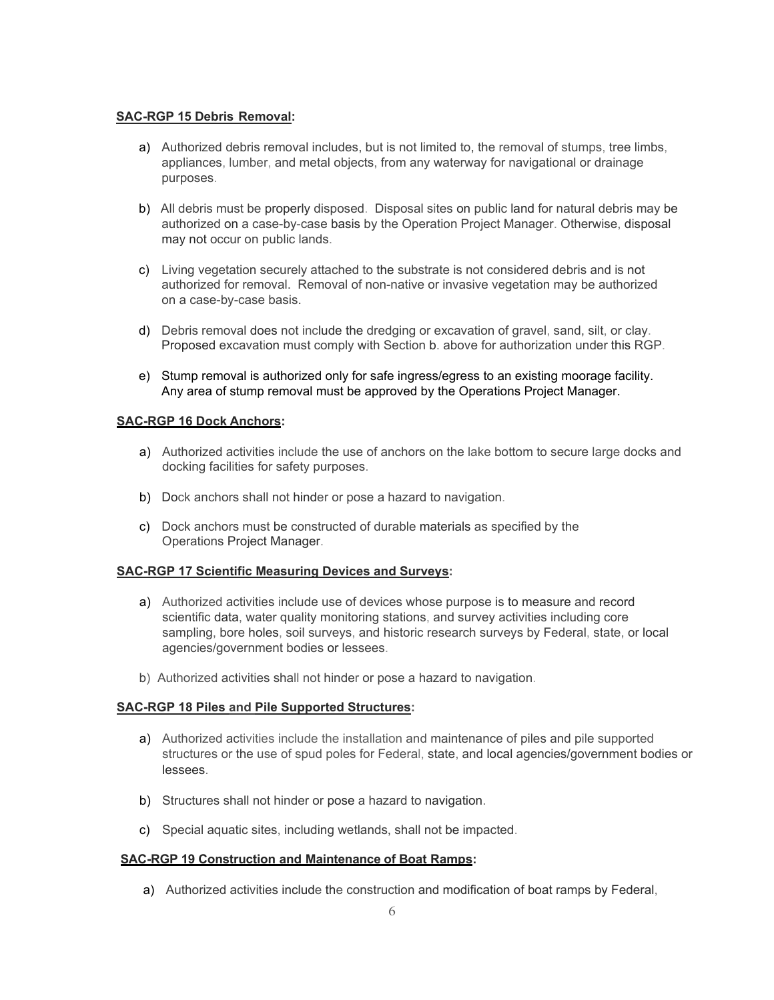## **SAC-RGP 15 Debris Removal:**

- a) Authorized debris removal includes, but is not limited to, the removal of stumps, tree limbs, appliances, lumber, and metal objects, from any waterway for navigational or drainage purposes.
- b) All debris must be properly disposed. Disposal sites on public land for natural debris may be authorized on a case-by-case basis by the Operation Project Manager. Otherwise, disposal may not occur on public lands.
- c) Living vegetation securely attached to the substrate is not considered debris and is not authorized for removal. Removal of non-native or invasive vegetation may be authorized on a case-by-case basis.
- d) Debris removal does not include the dredging or excavation of gravel, sand, silt, or clay. Proposed excavation must comply with Section b. above for authorization under this RGP.
- e) Stump removal is authorized only for safe ingress/egress to an existing moorage facility. Any area of stump removal must be approved by the Operations Project Manager.

# **SAC-RGP 16 Dock Anchors:**

- a) Authorized activities include the use of anchors on the lake bottom to secure large docks and docking facilities for safety purposes.
- b) Dock anchors shall not hinder or pose a hazard to navigation.
- c) Dock anchors must be constructed of durable materials as specified by the Operations Project Manager.

# **SAC-RGP 17 Scientific Measuring Devices and Surveys:**

- a) Authorized activities include use of devices whose purpose is to measure and record scientific data, water quality monitoring stations, and survey activities including core sampling, bore holes, soil surveys, and historic research surveys by Federal, state, or local agencies/government bodies or lessees.
- b) Authorized activities shall not hinder or pose a hazard to navigation.

# **SAC-RGP 18 Piles and Pile Supported Structures:**

- a) Authorized activities include the installation and maintenance of piles and pile supported structures or the use of spud poles for Federal, state, and local agencies/government bodies or lessees.
- b) Structures shall not hinder or pose a hazard to navigation.
- c) Special aquatic sites, including wetlands, shall not be impacted.

## **SAC-RGP 19 Construction and Maintenance of Boat Ramps:**

a) Authorized activities include the construction and modification of boat ramps by Federal,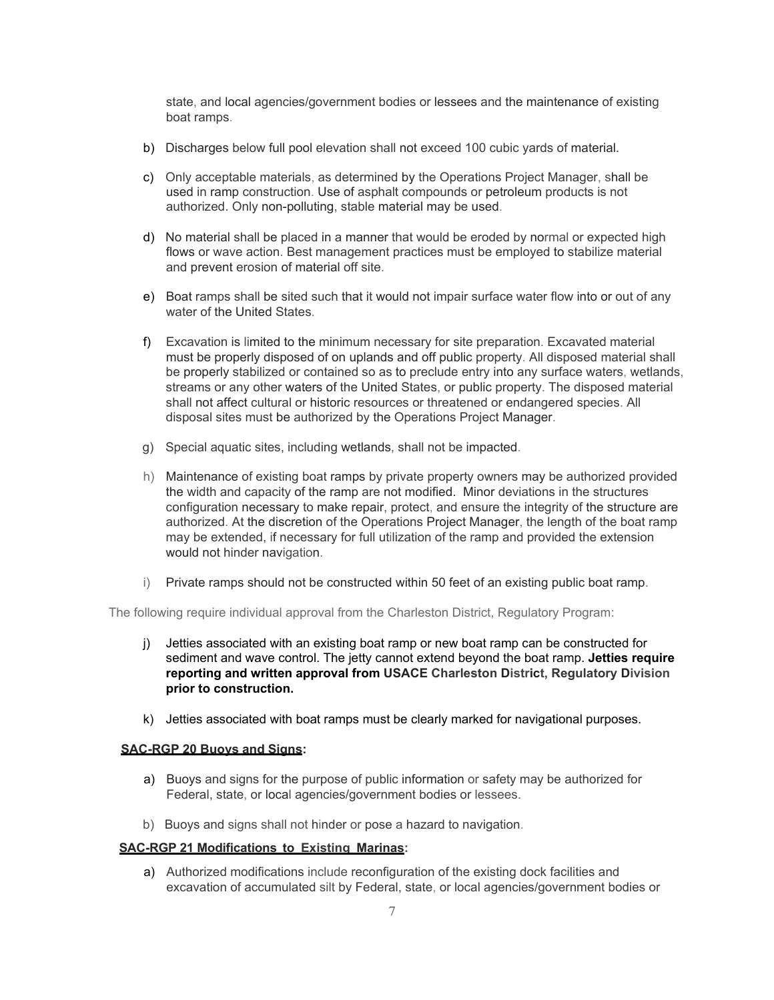state, and local agencies/government bodies or lessees and the maintenance of existing boat ramps.

- b) Discharges below full pool elevation shall not exceed 100 cubic yards of material.
- c) Only acceptable materials, as determined by the Operations Project Manager, shall be used in ramp construction. Use of asphalt compounds or petroleum products is not authorized. Only non-polluting, stable material may be used.
- d) No material shall be placed in a manner that would be eroded by normal or expected high flows or wave action. Best management practices must be employed to stabilize material and prevent erosion of material off site.
- e) Boat ramps shall be sited such that it would not impair surface water flow into or out of any water of the United States.
- f) Excavation is limited to the minimum necessary for site preparation. Excavated material must be properly disposed of on uplands and off public property. All disposed material shall be properly stabilized or contained so as to preclude entry into any surface waters, wetlands, streams or any other waters of the United States, or public property. The disposed material shall not affect cultural or historic resources or threatened or endangered species. All disposal sites must be authorized by the Operations Project Manager.
- g) Special aquatic sites, including wetlands, shall not be impacted.
- h) Maintenance of existing boat ramps by private property owners may be authorized provided the width and capacity of the ramp are not modified. Minor deviations in the structures configuration necessary to make repair, protect, and ensure the integrity of the structure are authorized. At the discretion of the Operations Project Manager, the length of the boat ramp may be extended, if necessary for full utilization of the ramp and provided the extension would not hinder navigation.
- i) Private ramps should not be constructed within 50 feet of an existing public boat ramp.

The following require individual approval from the Charleston District, Regulatory Program:

- j) Jetties associated with an existing boat ramp or new boat ramp can be constructed for sediment and wave control. The jetty cannot extend beyond the boat ramp. **Jetties require reporting and written approval from USACE Charleston District, Regulatory Division prior to construction.**
- k) Jetties associated with boat ramps must be clearly marked for navigational purposes.

### **SAC-RGP 20 Buoys and Signs:**

- a) Buoys and signs for the purpose of public information or safety may be authorized for Federal, state, or local agencies/government bodies or lessees.
- b) Buoys and signs shall not hinder or pose a hazard to navigation.

### **SAC-RGP 21 Modifications to Existing Marinas:**

a) Authorized modifications include reconfiguration of the existing dock facilities and excavation of accumulated silt by Federal, state, or local agencies/government bodies or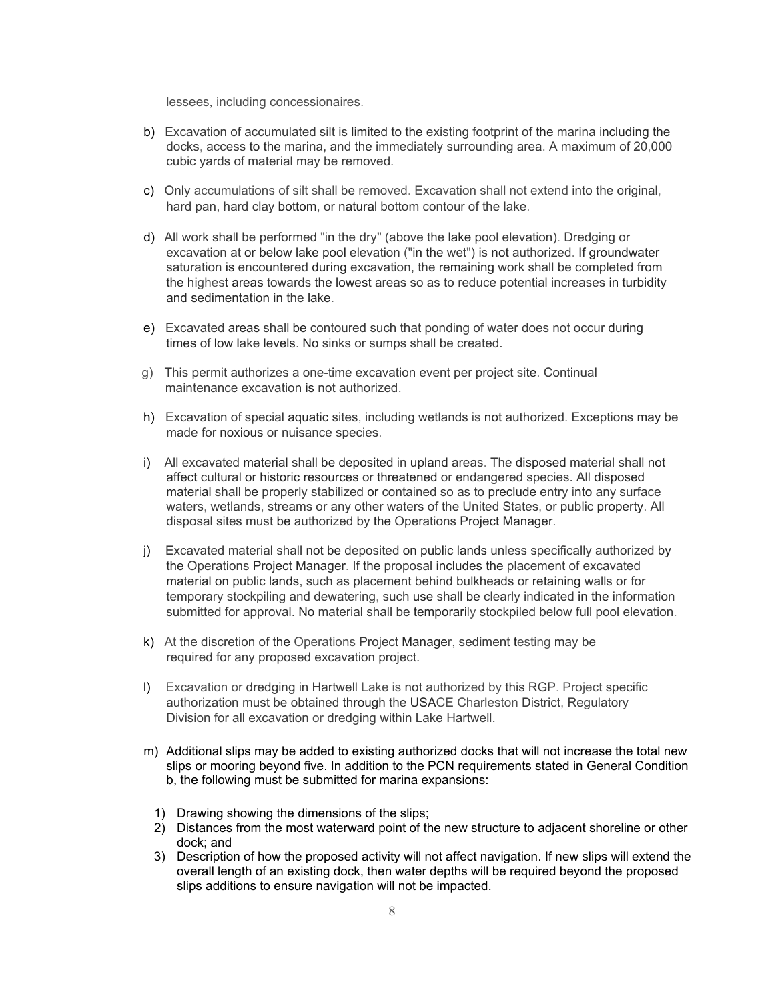lessees, including concessionaires.

- b) Excavation of accumulated silt is limited to the existing footprint of the marina including the docks, access to the marina, and the immediately surrounding area. A maximum of 20,000 cubic yards of material may be removed.
- c) Only accumulations of silt shall be removed. Excavation shall not extend into the original, hard pan, hard clay bottom, or natural bottom contour of the lake.
- d) All work shall be performed "in the dry" (above the lake pool elevation). Dredging or excavation at or below lake pool elevation ("in the wet") is not authorized. If groundwater saturation is encountered during excavation, the remaining work shall be completed from the highest areas towards the lowest areas so as to reduce potential increases in turbidity and sedimentation in the lake.
- e) Excavated areas shall be contoured such that ponding of water does not occur during times of low lake levels. No sinks or sumps shall be created.
- g) This permit authorizes a one-time excavation event per project site. Continual maintenance excavation is not authorized.
- h) Excavation of special aquatic sites, including wetlands is not authorized. Exceptions may be made for noxious or nuisance species.
- i) All excavated material shall be deposited in upland areas. The disposed material shall not affect cultural or historic resources or threatened or endangered species. All disposed material shall be properly stabilized or contained so as to preclude entry into any surface waters, wetlands, streams or any other waters of the United States, or public property. All disposal sites must be authorized by the Operations Project Manager.
- j) Excavated material shall not be deposited on public lands unless specifically authorized by the Operations Project Manager. If the proposal includes the placement of excavated material on public lands, such as placement behind bulkheads or retaining walls or for temporary stockpiling and dewatering, such use shall be clearly indicated in the information submitted for approval. No material shall be temporarily stockpiled below full pool elevation.
- k) At the discretion of the Operations Project Manager, sediment testing may be required for any proposed excavation project.
- l) Excavation or dredging in Hartwell Lake is not authorized by this RGP. Project specific authorization must be obtained through the USACE Charleston District, Regulatory Division for all excavation or dredging within Lake Hartwell.
- m) Additional slips may be added to existing authorized docks that will not increase the total new slips or mooring beyond five. In addition to the PCN requirements stated in General Condition b, the following must be submitted for marina expansions:
	- 1) Drawing showing the dimensions of the slips;
	- 2) Distances from the most waterward point of the new structure to adjacent shoreline or other dock; and
	- 3) Description of how the proposed activity will not affect navigation. If new slips will extend the overall length of an existing dock, then water depths will be required beyond the proposed slips additions to ensure navigation will not be impacted.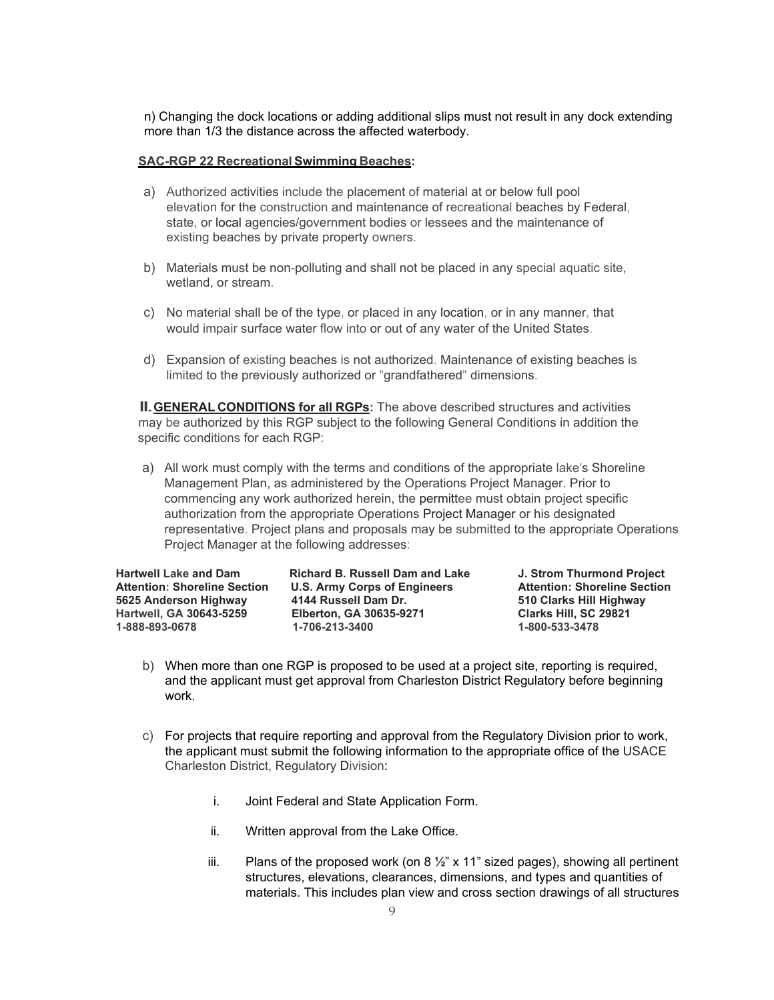n) Changing the dock locations or adding additional slips must not result in any dock extending more than 1/3 the distance across the affected waterbody.

### **SAC-RGP 22 RecreationalSwimming Beaches:**

- a) Authorized activities include the placement of material at or below full pool elevation for the construction and maintenance of recreational beaches by Federal, state, or local agencies/government bodies or lessees and the maintenance of existing beaches by private property owners.
- b) Materials must be non-polluting and shall not be placed in any special aquatic site, wetland, or stream.
- c) No material shall be of the type, or placed in any location, or in any manner, that would impair surface water flow into or out of any water of the United States.
- d) Expansion of existing beaches is not authorized. Maintenance of existing beaches is limited to the previously authorized or "grandfathered" dimensions.

**II. GENERAL CONDITIONS for all RGPs:** The above described structures and activities may be authorized by this RGP subject to the following General Conditions in addition the specific conditions for each RGP:

a) All work must comply with the terms and conditions of the appropriate lake's Shoreline Management Plan, as administered by the Operations Project Manager. Prior to commencing any work authorized herein, the permittee must obtain project specific authorization from the appropriate Operations Project Manager or his designated representative. Project plans and proposals may be submitted to the appropriate Operations Project Manager at the following addresses:

**Hartwell Lake and Dam Richard B. Russell Dam and Lake J. Strom Thurmond Project Attention: Shoreline Section U.S. Army Corps of Engineers Attention: Shoreline Section 5625 Anderson Highway 4144 Russell Dam Dr. 510 Clarks Hill Highway Hartwell, GA 30643-5259 Elberton, GA 30635-9271 Clarks Hill, SC 29821 1-888-893-0678 1-706-213-3400 1-800-533-3478**

- b) When more than one RGP is proposed to be used at a project site, reporting is required, and the applicant must get approval from Charleston District Regulatory before beginning work.
- c) For projects that require reporting and approval from the Regulatory Division prior to work, the applicant must submit the following information to the appropriate office of the USACE Charleston District, Regulatory Division:
	- i. Joint Federal and State Application Form.
	- ii. Written approval from the Lake Office.
	- iii. Plans of the proposed work (on 8  $\frac{1}{2}$ " x 11" sized pages), showing all pertinent structures, elevations, clearances, dimensions, and types and quantities of materials. This includes plan view and cross section drawings of all structures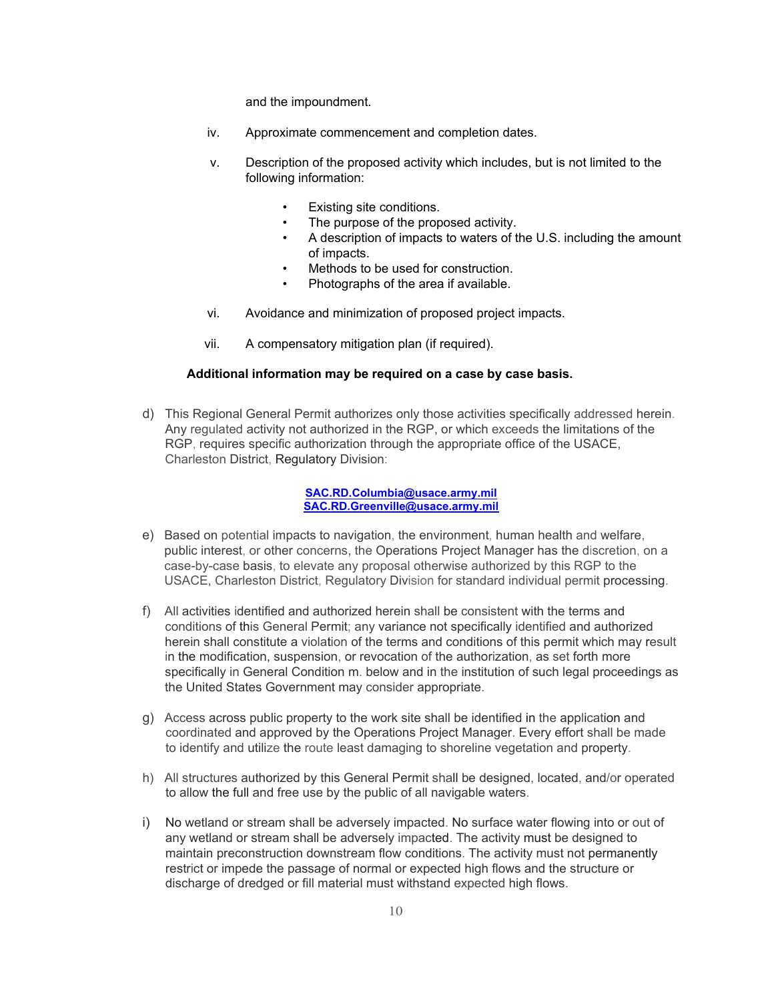and the impoundment.

- iv. Approximate commencement and completion dates.
- v. Description of the proposed activity which includes, but is not limited to the following information:
	- Existing site conditions.
	- The purpose of the proposed activity.
	- A description of impacts to waters of the U.S. including the amount of impacts.
	- Methods to be used for construction.
	- Photographs of the area if available.
- vi. Avoidance and minimization of proposed project impacts.
- vii. A compensatory mitigation plan (if required).

### **Additional information may be required on a case by case basis.**

d) This Regional General Permit authorizes only those activities specifically addressed herein. Any regulated activity not authorized in the RGP, or which exceeds the limitations of the RGP, requires specific authorization through the appropriate office of the USACE, Charleston District, Regulatory Division:

#### **[SAC.RD.Columbia@usace.army.mil](mailto:SAC.RD.Columbia@usace.army.mil) [SAC.RD.Greenville@usace.army.mil](mailto:SAC.RD.Greenville@usace.army.mil)**

- e) Based on potential impacts to navigation, the environment, human health and welfare, public interest, or other concerns, the Operations Project Manager has the discretion, on a case-by-case basis, to elevate any proposal otherwise authorized by this RGP to the USACE, Charleston District, Regulatory Division for standard individual permit processing.
- f) All activities identified and authorized herein shall be consistent with the terms and conditions of this General Permit; any variance not specifically identified and authorized herein shall constitute a violation of the terms and conditions of this permit which may result in the modification, suspension, or revocation of the authorization, as set forth more specifically in General Condition m. below and in the institution of such legal proceedings as the United States Government may consider appropriate.
- g) Access across public property to the work site shall be identified in the application and coordinated and approved by the Operations Project Manager. Every effort shall be made to identify and utilize the route least damaging to shoreline vegetation and property.
- h) All structures authorized by this General Permit shall be designed, located, and/or operated to allow the full and free use by the public of all navigable waters.
- i) No wetland or stream shall be adversely impacted. No surface water flowing into or out of any wetland or stream shall be adversely impacted. The activity must be designed to maintain preconstruction downstream flow conditions. The activity must not permanently restrict or impede the passage of normal or expected high flows and the structure or discharge of dredged or fill material must withstand expected high flows.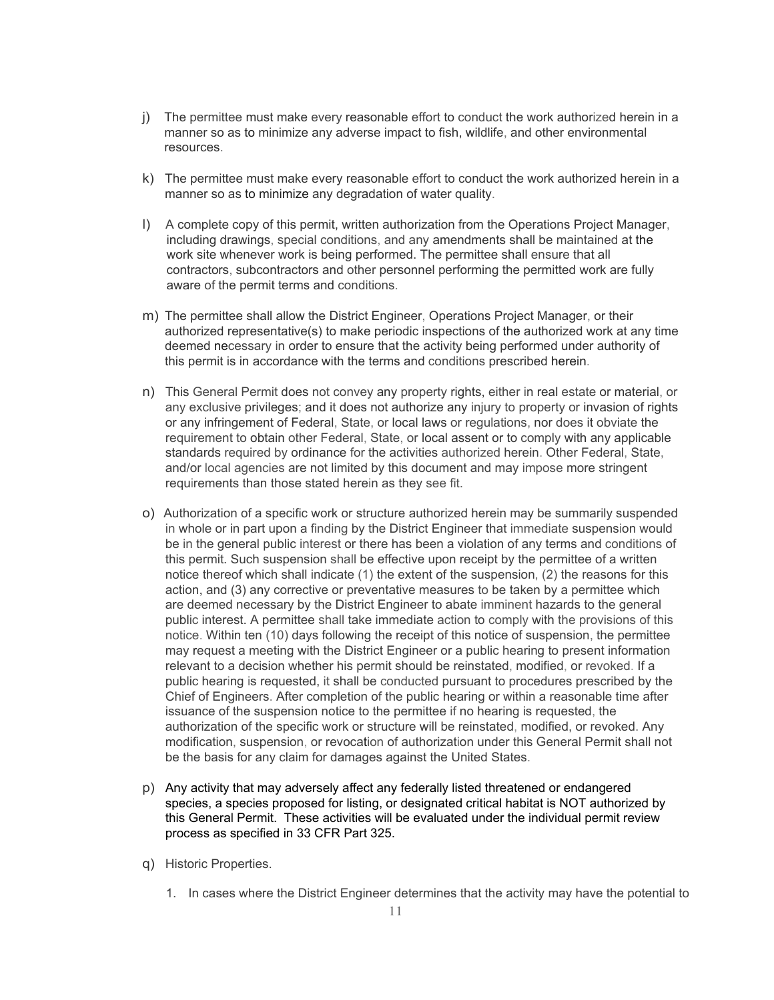- j) The permittee must make every reasonable effort to conduct the work authorized herein in a manner so as to minimize any adverse impact to fish, wildlife, and other environmental resources.
- k) The permittee must make every reasonable effort to conduct the work authorized herein in a manner so as to minimize any degradation of water quality.
- l) A complete copy of this permit, written authorization from the Operations Project Manager, including drawings, special conditions, and any amendments shall be maintained at the work site whenever work is being performed. The permittee shall ensure that all contractors, subcontractors and other personnel performing the permitted work are fully aware of the permit terms and conditions.
- m) The permittee shall allow the District Engineer, Operations Project Manager, or their authorized representative(s) to make periodic inspections of the authorized work at any time deemed necessary in order to ensure that the activity being performed under authority of this permit is in accordance with the terms and conditions prescribed herein.
- n) This General Permit does not convey any property rights, either in real estate or material, or any exclusive privileges; and it does not authorize any injury to property or invasion of rights or any infringement of Federal, State, or local laws or regulations, nor does it obviate the requirement to obtain other Federal, State, or local assent or to comply with any applicable standards required by ordinance for the activities authorized herein. Other Federal, State, and/or local agencies are not limited by this document and may impose more stringent requirements than those stated herein as they see fit.
- o) Authorization of a specific work or structure authorized herein may be summarily suspended in whole or in part upon a finding by the District Engineer that immediate suspension would be in the general public interest or there has been a violation of any terms and conditions of this permit. Such suspension shall be effective upon receipt by the permittee of a written notice thereof which shall indicate (1) the extent of the suspension, (2) the reasons for this action, and (3) any corrective or preventative measures to be taken by a permittee which are deemed necessary by the District Engineer to abate imminent hazards to the general public interest. A permittee shall take immediate action to comply with the provisions of this notice. Within ten (10) days following the receipt of this notice of suspension, the permittee may request a meeting with the District Engineer or a public hearing to present information relevant to a decision whether his permit should be reinstated, modified, or revoked. If a public hearing is requested, it shall be conducted pursuant to procedures prescribed by the Chief of Engineers. After completion of the public hearing or within a reasonable time after issuance of the suspension notice to the permittee if no hearing is requested, the authorization of the specific work or structure will be reinstated, modified, or revoked. Any modification, suspension, or revocation of authorization under this General Permit shall not be the basis for any claim for damages against the United States.
- p) Any activity that may adversely affect any federally listed threatened or endangered species, a species proposed for listing, or designated critical habitat is NOT authorized by this General Permit. These activities will be evaluated under the individual permit review process as specified in 33 CFR Part 325.
- q) Historic Properties.
	- 1. In cases where the District Engineer determines that the activity may have the potential to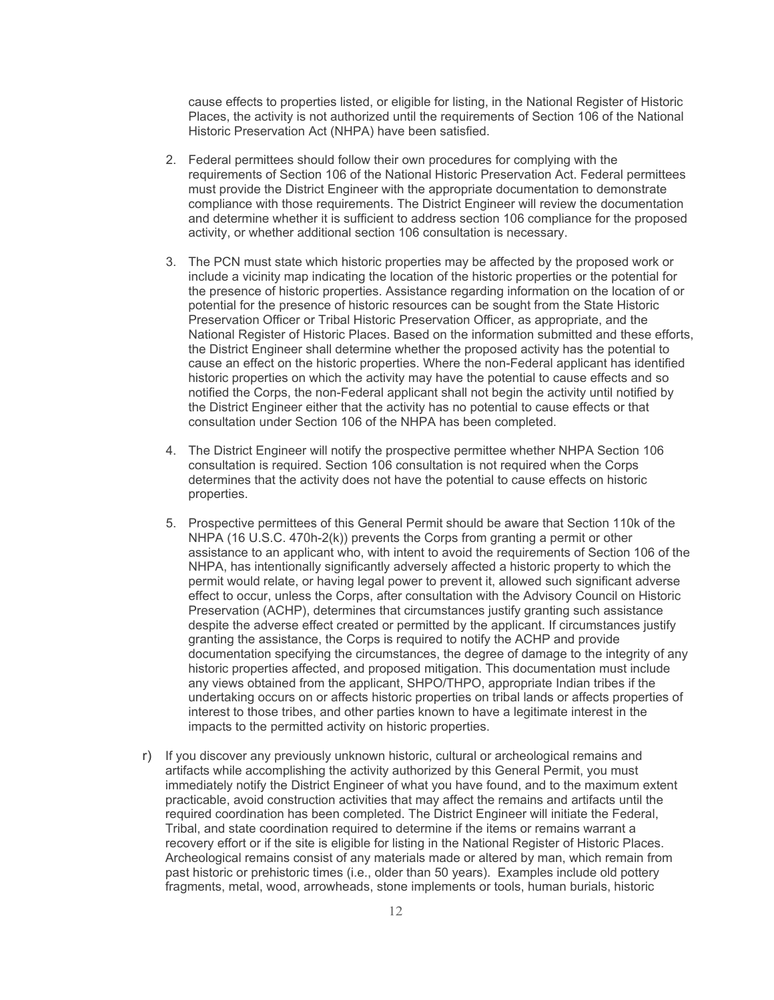cause effects to properties listed, or eligible for listing, in the National Register of Historic Places, the activity is not authorized until the requirements of Section 106 of the National Historic Preservation Act (NHPA) have been satisfied.

- 2. Federal permittees should follow their own procedures for complying with the requirements of Section 106 of the National Historic Preservation Act. Federal permittees must provide the District Engineer with the appropriate documentation to demonstrate compliance with those requirements. The District Engineer will review the documentation and determine whether it is sufficient to address section 106 compliance for the proposed activity, or whether additional section 106 consultation is necessary.
- 3. The PCN must state which historic properties may be affected by the proposed work or include a vicinity map indicating the location of the historic properties or the potential for the presence of historic properties. Assistance regarding information on the location of or potential for the presence of historic resources can be sought from the State Historic Preservation Officer or Tribal Historic Preservation Officer, as appropriate, and the National Register of Historic Places. Based on the information submitted and these efforts, the District Engineer shall determine whether the proposed activity has the potential to cause an effect on the historic properties. Where the non-Federal applicant has identified historic properties on which the activity may have the potential to cause effects and so notified the Corps, the non-Federal applicant shall not begin the activity until notified by the District Engineer either that the activity has no potential to cause effects or that consultation under Section 106 of the NHPA has been completed.
- 4. The District Engineer will notify the prospective permittee whether NHPA Section 106 consultation is required. Section 106 consultation is not required when the Corps determines that the activity does not have the potential to cause effects on historic properties.
- 5. Prospective permittees of this General Permit should be aware that Section 110k of the NHPA (16 U.S.C. 470h-2(k)) prevents the Corps from granting a permit or other assistance to an applicant who, with intent to avoid the requirements of Section 106 of the NHPA, has intentionally significantly adversely affected a historic property to which the permit would relate, or having legal power to prevent it, allowed such significant adverse effect to occur, unless the Corps, after consultation with the Advisory Council on Historic Preservation (ACHP), determines that circumstances justify granting such assistance despite the adverse effect created or permitted by the applicant. If circumstances justify granting the assistance, the Corps is required to notify the ACHP and provide documentation specifying the circumstances, the degree of damage to the integrity of any historic properties affected, and proposed mitigation. This documentation must include any views obtained from the applicant, SHPO/THPO, appropriate Indian tribes if the undertaking occurs on or affects historic properties on tribal lands or affects properties of interest to those tribes, and other parties known to have a legitimate interest in the impacts to the permitted activity on historic properties.
- r) If you discover any previously unknown historic, cultural or archeological remains and artifacts while accomplishing the activity authorized by this General Permit, you must immediately notify the District Engineer of what you have found, and to the maximum extent practicable, avoid construction activities that may affect the remains and artifacts until the required coordination has been completed. The District Engineer will initiate the Federal, Tribal, and state coordination required to determine if the items or remains warrant a recovery effort or if the site is eligible for listing in the National Register of Historic Places. Archeological remains consist of any materials made or altered by man, which remain from past historic or prehistoric times (i.e., older than 50 years). Examples include old pottery fragments, metal, wood, arrowheads, stone implements or tools, human burials, historic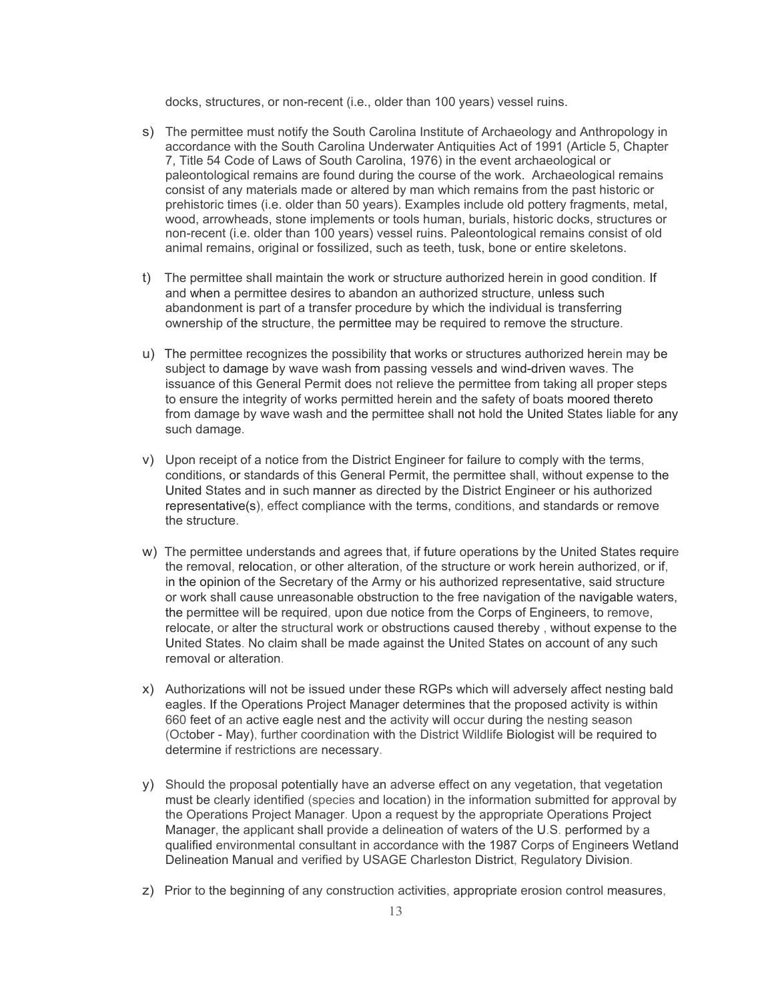docks, structures, or non-recent (i.e., older than 100 years) vessel ruins.

- s) The permittee must notify the South Carolina Institute of Archaeology and Anthropology in accordance with the South Carolina Underwater Antiquities Act of 1991 (Article 5, Chapter 7, Title 54 Code of Laws of South Carolina, 1976) in the event archaeological or paleontological remains are found during the course of the work. Archaeological remains consist of any materials made or altered by man which remains from the past historic or prehistoric times (i.e. older than 50 years). Examples include old pottery fragments, metal, wood, arrowheads, stone implements or tools human, burials, historic docks, structures or non-recent (i.e. older than 100 years) vessel ruins. Paleontological remains consist of old animal remains, original or fossilized, such as teeth, tusk, bone or entire skeletons.
- t) The permittee shall maintain the work or structure authorized herein in good condition. If and when a permittee desires to abandon an authorized structure, unless such abandonment is part of a transfer procedure by which the individual is transferring ownership of the structure, the permittee may be required to remove the structure.
- u) The permittee recognizes the possibility that works or structures authorized herein may be subject to damage by wave wash from passing vessels and wind-driven waves. The issuance of this General Permit does not relieve the permittee from taking all proper steps to ensure the integrity of works permitted herein and the safety of boats moored thereto from damage by wave wash and the permittee shall not hold the United States liable for any such damage.
- v) Upon receipt of a notice from the District Engineer for failure to comply with the terms, conditions, or standards of this General Permit, the permittee shall, without expense to the United States and in such manner as directed by the District Engineer or his authorized representative(s), effect compliance with the terms, conditions, and standards or remove the structure.
- w) The permittee understands and agrees that, if future operations by the United States require the removal, relocation, or other alteration, of the structure or work herein authorized, or if, in the opinion of the Secretary of the Army or his authorized representative, said structure or work shall cause unreasonable obstruction to the free navigation of the navigable waters, the permittee will be required, upon due notice from the Corps of Engineers, to remove, relocate, or alter the structural work or obstructions caused thereby , without expense to the United States. No claim shall be made against the United States on account of any such removal or alteration.
- x) Authorizations will not be issued under these RGPs which will adversely affect nesting bald eagles. If the Operations Project Manager determines that the proposed activity is within 660 feet of an active eagle nest and the activity will occur during the nesting season (October - May), further coordination with the District Wildlife Biologist will be required to determine if restrictions are necessary.
- y) Should the proposal potentially have an adverse effect on any vegetation, that vegetation must be clearly identified (species and location) in the information submitted for approval by the Operations Project Manager. Upon a request by the appropriate Operations Project Manager, the applicant shall provide a delineation of waters of the U.S. performed by a qualified environmental consultant in accordance with the 1987 Corps of Engineers Wetland Delineation Manual and verified by USAGE Charleston District, Regulatory Division.
- z) Prior to the beginning of any construction activities, appropriate erosion control measures,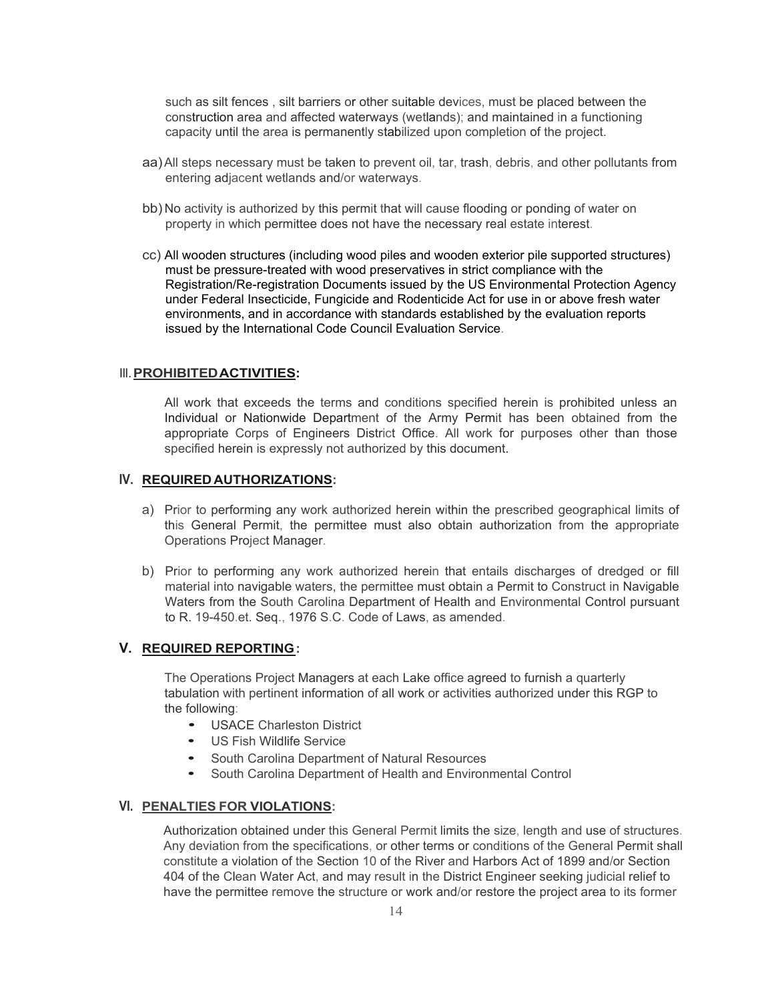such as silt fences , silt barriers or other suitable devices, must be placed between the construction area and affected waterways (wetlands); and maintained in a functioning capacity until the area is permanently stabilized upon completion of the project.

- aa)All steps necessary must be taken to prevent oil, tar, trash, debris, and other pollutants from entering adjacent wetlands and/or waterways.
- bb) No activity is authorized by this permit that will cause flooding or ponding of water on property in which permittee does not have the necessary real estate interest.
- cc) All wooden structures (including wood piles and wooden exterior pile supported structures) must be pressure-treated with wood preservatives in strict compliance with the Registration/Re-registration Documents issued by the US Environmental Protection Agency under Federal Insecticide, Fungicide and Rodenticide Act for use in or above fresh water environments, and in accordance with standards established by the evaluation reports issued by the International Code Council Evaluation Service.

#### Ill.**PROHIBITEDACTIVITIES:**

All work that exceeds the terms and conditions specified herein is prohibited unless an Individual or Nationwide Department of the Army Permit has been obtained from the appropriate Corps of Engineers District Office. All work for purposes other than those specified herein is expressly not authorized by this document.

### **IV. REQUIRED AUTHORIZATIONS:**

- a) Prior to performing any work authorized herein within the prescribed geographical limits of this General Permit, the permittee must also obtain authorization from the appropriate Operations Project Manager.
- b) Prior to performing any work authorized herein that entails discharges of dredged or fill material into navigable waters, the permittee must obtain a Permit to Construct in Navigable Waters from the South Carolina Department of Health and Environmental Control pursuant to R. 19-450.et. Seq., 1976 S.C. Code of Laws, as amended.

### **V. REQUIRED REPORTING:**

The Operations Project Managers at each Lake office agreed to furnish a quarterly tabulation with pertinent information of all work or activities authorized under this RGP to the following:

- USACE Charleston District
- US Fish Wildlife Service
- South Carolina Department of Natural Resources
- South Carolina Department of Health and Environmental Control

#### **VI. PENALTIES FOR VIOLATIONS:**

Authorization obtained under this General Permit limits the size, length and use of structures. Any deviation from the specifications, or other terms or conditions of the General Permit shall constitute a violation of the Section 10 of the River and Harbors Act of 1899 and/or Section 404 of the Clean Water Act, and may result in the District Engineer seeking judicial relief to have the permittee remove the structure or work and/or restore the project area to its former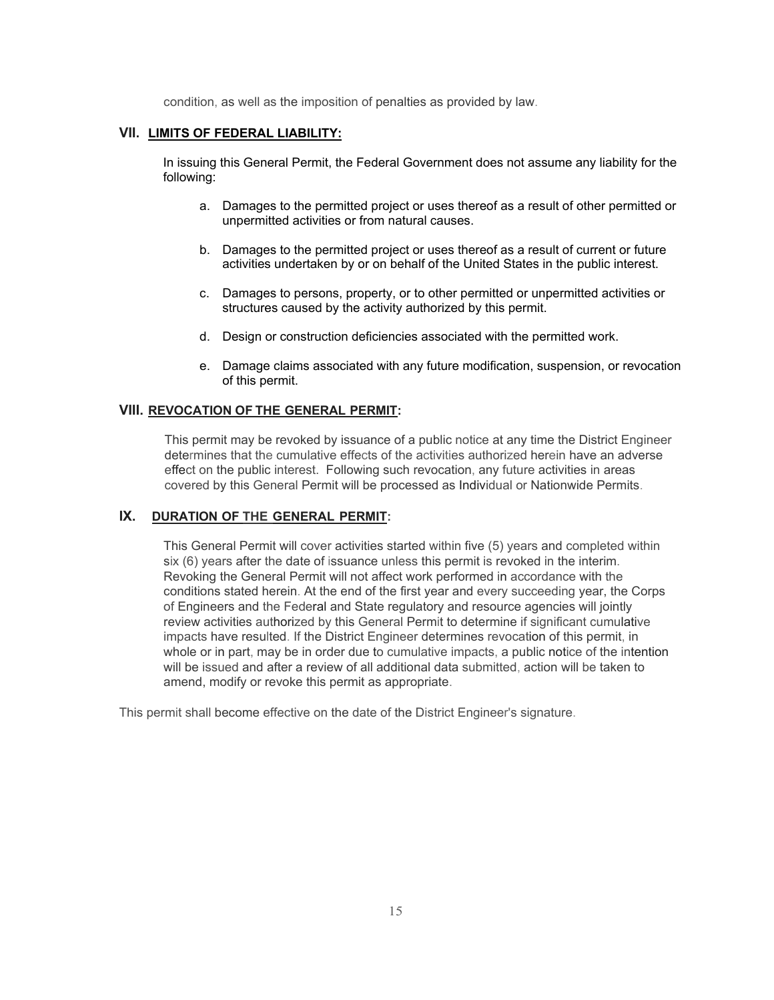condition, as well as the imposition of penalties as provided by law.

## **VII. LIMITS OF FEDERAL LIABILITY:**

In issuing this General Permit, the Federal Government does not assume any liability for the following:

- a. Damages to the permitted project or uses thereof as a result of other permitted or unpermitted activities or from natural causes.
- b. Damages to the permitted project or uses thereof as a result of current or future activities undertaken by or on behalf of the United States in the public interest.
- c. Damages to persons, property, or to other permitted or unpermitted activities or structures caused by the activity authorized by this permit.
- d. Design or construction deficiencies associated with the permitted work.
- e. Damage claims associated with any future modification, suspension, or revocation of this permit.

### **VIII. REVOCATION OF THE GENERAL PERMIT:**

This permit may be revoked by issuance of a public notice at any time the District Engineer determines that the cumulative effects of the activities authorized herein have an adverse effect on the public interest. Following such revocation, any future activities in areas covered by this General Permit will be processed as Individual or Nationwide Permits.

## **IX. DURATION OF THE GENERAL PERMIT:**

This General Permit will cover activities started within five (5) years and completed within six (6) years after the date of issuance unless this permit is revoked in the interim. Revoking the General Permit will not affect work performed in accordance with the conditions stated herein. At the end of the first year and every succeeding year, the Corps of Engineers and the Federal and State regulatory and resource agencies will jointly review activities authorized by this General Permit to determine if significant cumulative impacts have resulted. If the District Engineer determines revocation of this permit, in whole or in part, may be in order due to cumulative impacts, a public notice of the intention will be issued and after a review of all additional data submitted, action will be taken to amend, modify or revoke this permit as appropriate.

This permit shall become effective on the date of the District Engineer's signature.